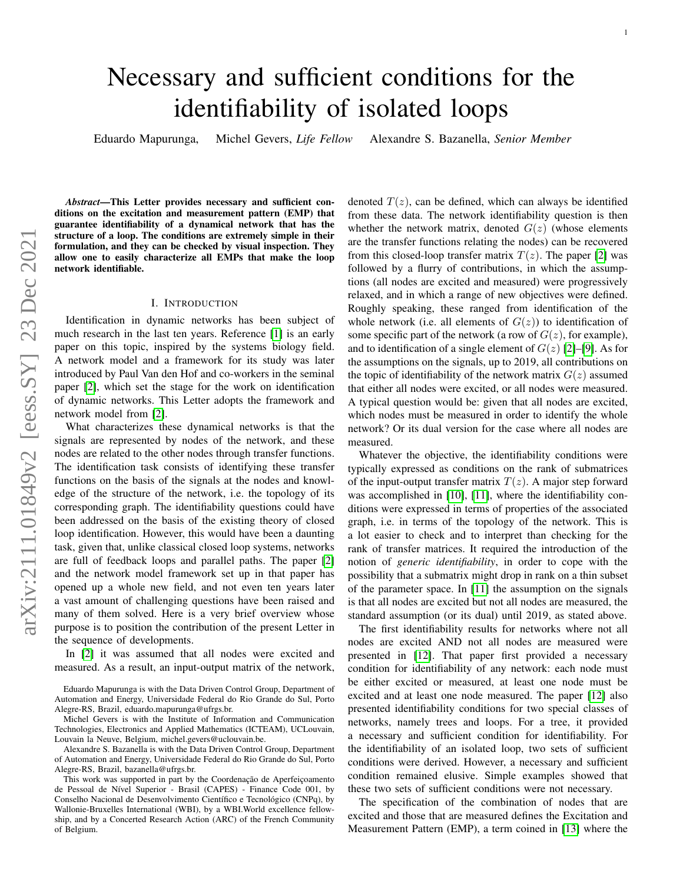# Necessary and sufficient conditions for the identifiability of isolated loops

Eduardo Mapurunga, Michel Gevers, *Life Fellow* Alexandre S. Bazanella, *Senior Member*

*Abstract*—This Letter provides necessary and sufficient conditions on the excitation and measurement pattern (EMP) that guarantee identifiability of a dynamical network that has the structure of a loop. The conditions are extremely simple in their formulation, and they can be checked by visual inspection. They allow one to easily characterize all EMPs that make the loop network identifiable.

## I. INTRODUCTION

Identification in dynamic networks has been subject of much research in the last ten years. Reference [\[1\]](#page-4-0) is an early paper on this topic, inspired by the systems biology field. A network model and a framework for its study was later introduced by Paul Van den Hof and co-workers in the seminal paper [\[2\]](#page-4-1), which set the stage for the work on identification of dynamic networks. This Letter adopts the framework and network model from [\[2\]](#page-4-1).

What characterizes these dynamical networks is that the signals are represented by nodes of the network, and these nodes are related to the other nodes through transfer functions. The identification task consists of identifying these transfer functions on the basis of the signals at the nodes and knowledge of the structure of the network, i.e. the topology of its corresponding graph. The identifiability questions could have been addressed on the basis of the existing theory of closed loop identification. However, this would have been a daunting task, given that, unlike classical closed loop systems, networks are full of feedback loops and parallel paths. The paper [\[2\]](#page-4-1) and the network model framework set up in that paper has opened up a whole new field, and not even ten years later a vast amount of challenging questions have been raised and many of them solved. Here is a very brief overview whose purpose is to position the contribution of the present Letter in the sequence of developments.

In [\[2\]](#page-4-1) it was assumed that all nodes were excited and measured. As a result, an input-output matrix of the network,

Alexandre S. Bazanella is with the Data Driven Control Group, Department of Automation and Energy, Universidade Federal do Rio Grande do Sul, Porto Alegre-RS, Brazil, bazanella@ufrgs.br.

denoted  $T(z)$ , can be defined, which can always be identified from these data. The network identifiability question is then whether the network matrix, denoted  $G(z)$  (whose elements are the transfer functions relating the nodes) can be recovered from this closed-loop transfer matrix  $T(z)$ . The paper [\[2\]](#page-4-1) was followed by a flurry of contributions, in which the assumptions (all nodes are excited and measured) were progressively relaxed, and in which a range of new objectives were defined. Roughly speaking, these ranged from identification of the whole network (i.e. all elements of  $G(z)$ ) to identification of some specific part of the network (a row of  $G(z)$ , for example), and to identification of a single element of  $G(z)$  [\[2\]](#page-4-1)–[\[9\]](#page-4-2). As for the assumptions on the signals, up to 2019, all contributions on the topic of identifiability of the network matrix  $G(z)$  assumed that either all nodes were excited, or all nodes were measured. A typical question would be: given that all nodes are excited, which nodes must be measured in order to identify the whole network? Or its dual version for the case where all nodes are measured.

Whatever the objective, the identifiability conditions were typically expressed as conditions on the rank of submatrices of the input-output transfer matrix  $T(z)$ . A major step forward was accomplished in [\[10\]](#page-4-3), [\[11\]](#page-4-4), where the identifiability conditions were expressed in terms of properties of the associated graph, i.e. in terms of the topology of the network. This is a lot easier to check and to interpret than checking for the rank of transfer matrices. It required the introduction of the notion of *generic identifiability*, in order to cope with the possibility that a submatrix might drop in rank on a thin subset of the parameter space. In [\[11\]](#page-4-4) the assumption on the signals is that all nodes are excited but not all nodes are measured, the standard assumption (or its dual) until 2019, as stated above.

The first identifiability results for networks where not all nodes are excited AND not all nodes are measured were presented in [\[12\]](#page-4-5). That paper first provided a necessary condition for identifiability of any network: each node must be either excited or measured, at least one node must be excited and at least one node measured. The paper [\[12\]](#page-4-5) also presented identifiability conditions for two special classes of networks, namely trees and loops. For a tree, it provided a necessary and sufficient condition for identifiability. For the identifiability of an isolated loop, two sets of sufficient conditions were derived. However, a necessary and sufficient condition remained elusive. Simple examples showed that these two sets of sufficient conditions were not necessary.

The specification of the combination of nodes that are excited and those that are measured defines the Excitation and Measurement Pattern (EMP), a term coined in [\[13\]](#page-4-6) where the

Eduardo Mapurunga is with the Data Driven Control Group, Department of Automation and Energy, Universidade Federal do Rio Grande do Sul, Porto Alegre-RS, Brazil, eduardo.mapurunga@ufrgs.br.

Michel Gevers is with the Institute of Information and Communication Technologies, Electronics and Applied Mathematics (ICTEAM), UCLouvain, Louvain la Neuve, Belgium, michel.gevers@uclouvain.be.

This work was supported in part by the Coordenação de Aperfeiçoamento de Pessoal de Nível Superior - Brasil (CAPES) - Finance Code 001, by Conselho Nacional de Desenvolvimento Científico e Tecnológico (CNPq), by Wallonie-Bruxelles International (WBI), by a WBI.World excellence fellowship, and by a Concerted Research Action (ARC) of the French Community of Belgium.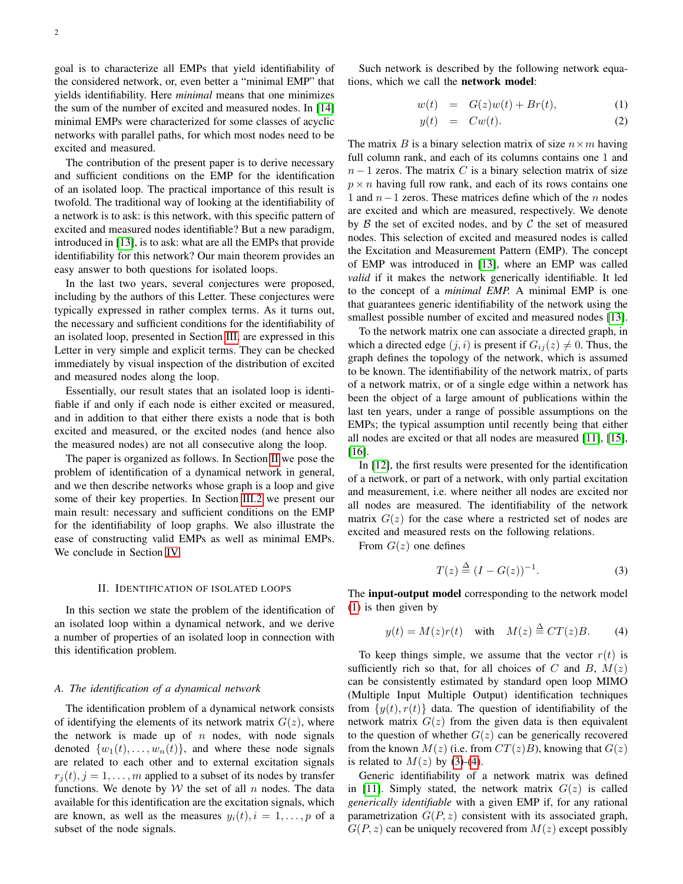goal is to characterize all EMPs that yield identifiability of the considered network, or, even better a "minimal EMP" that yields identifiability. Here *minimal* means that one minimizes the sum of the number of excited and measured nodes. In [\[14\]](#page-4-7) minimal EMPs were characterized for some classes of acyclic networks with parallel paths, for which most nodes need to be excited and measured.

The contribution of the present paper is to derive necessary and sufficient conditions on the EMP for the identification of an isolated loop. The practical importance of this result is twofold. The traditional way of looking at the identifiability of a network is to ask: is this network, with this specific pattern of excited and measured nodes identifiable? But a new paradigm, introduced in [\[13\]](#page-4-6), is to ask: what are all the EMPs that provide identifiability for this network? Our main theorem provides an easy answer to both questions for isolated loops.

In the last two years, several conjectures were proposed, including by the authors of this Letter. These conjectures were typically expressed in rather complex terms. As it turns out, the necessary and sufficient conditions for the identifiability of an isolated loop, presented in Section [III,](#page-2-0) are expressed in this Letter in very simple and explicit terms. They can be checked immediately by visual inspection of the distribution of excited and measured nodes along the loop.

Essentially, our result states that an isolated loop is identifiable if and only if each node is either excited or measured, and in addition to that either there exists a node that is both excited and measured, or the excited nodes (and hence also the measured nodes) are not all consecutive along the loop.

The paper is organized as follows. In Section [II](#page-1-0) we pose the problem of identification of a dynamical network in general, and we then describe networks whose graph is a loop and give some of their key properties. In Section [III.2](#page-3-0) we present our main result: necessary and sufficient conditions on the EMP for the identifiability of loop graphs. We also illustrate the ease of constructing valid EMPs as well as minimal EMPs. We conclude in Section [IV.](#page-4-8)

#### II. IDENTIFICATION OF ISOLATED LOOPS

<span id="page-1-0"></span>In this section we state the problem of the identification of an isolated loop within a dynamical network, and we derive a number of properties of an isolated loop in connection with this identification problem.

#### *A. The identification of a dynamical network*

The identification problem of a dynamical network consists of identifying the elements of its network matrix  $G(z)$ , where the network is made up of  $n$  nodes, with node signals denoted  $\{w_1(t), \ldots, w_n(t)\}\$ , and where these node signals are related to each other and to external excitation signals  $r_i(t), j = 1, \ldots, m$  applied to a subset of its nodes by transfer functions. We denote by  $W$  the set of all n nodes. The data available for this identification are the excitation signals, which are known, as well as the measures  $y_i(t)$ ,  $i = 1, \ldots, p$  of a subset of the node signals.

Such network is described by the following network equations, which we call the network model:

<span id="page-1-1"></span>
$$
w(t) = G(z)w(t) + Br(t), \tag{1}
$$

$$
y(t) = Cw(t). \tag{2}
$$

The matrix B is a binary selection matrix of size  $n \times m$  having full column rank, and each of its columns contains one 1 and  $n-1$  zeros. The matrix C is a binary selection matrix of size  $p \times n$  having full row rank, and each of its rows contains one 1 and  $n-1$  zeros. These matrices define which of the n nodes are excited and which are measured, respectively. We denote by  $\beta$  the set of excited nodes, and by  $\mathcal C$  the set of measured nodes. This selection of excited and measured nodes is called the Excitation and Measurement Pattern (EMP). The concept of EMP was introduced in [\[13\]](#page-4-6), where an EMP was called *valid* if it makes the network generically identifiable. It led to the concept of a *minimal EMP.* A minimal EMP is one that guarantees generic identifiability of the network using the smallest possible number of excited and measured nodes [\[13\]](#page-4-6).

To the network matrix one can associate a directed graph, in which a directed edge  $(j, i)$  is present if  $G_{ij}(z) \neq 0$ . Thus, the graph defines the topology of the network, which is assumed to be known. The identifiability of the network matrix, of parts of a network matrix, or of a single edge within a network has been the object of a large amount of publications within the last ten years, under a range of possible assumptions on the EMPs; the typical assumption until recently being that either all nodes are excited or that all nodes are measured [\[11\]](#page-4-4), [\[15\]](#page-4-9), [\[16\]](#page-4-10).

In [\[12\]](#page-4-5), the first results were presented for the identification of a network, or part of a network, with only partial excitation and measurement, i.e. where neither all nodes are excited nor all nodes are measured. The identifiability of the network matrix  $G(z)$  for the case where a restricted set of nodes are excited and measured rests on the following relations.

From  $G(z)$  one defines

<span id="page-1-2"></span>
$$
T(z) \stackrel{\Delta}{=} (I - G(z))^{-1}.
$$
 (3)

The input-output model corresponding to the network model [\(1\)](#page-1-1) is then given by

<span id="page-1-3"></span>
$$
y(t) = M(z)r(t)
$$
 with  $M(z) \stackrel{\Delta}{=} CT(z)B$ . (4)

To keep things simple, we assume that the vector  $r(t)$  is sufficiently rich so that, for all choices of C and B,  $M(z)$ can be consistently estimated by standard open loop MIMO (Multiple Input Multiple Output) identification techniques from  $\{y(t), r(t)\}\$  data. The question of identifiability of the network matrix  $G(z)$  from the given data is then equivalent to the question of whether  $G(z)$  can be generically recovered from the known  $M(z)$  (i.e. from  $CT(z)B$ ), knowing that  $G(z)$ is related to  $M(z)$  by [\(3\)](#page-1-2)-[\(4\)](#page-1-3).

Generic identifiability of a network matrix was defined in [\[11\]](#page-4-4). Simply stated, the network matrix  $G(z)$  is called *generically identifiable* with a given EMP if, for any rational parametrization  $G(P, z)$  consistent with its associated graph,  $G(P, z)$  can be uniquely recovered from  $M(z)$  except possibly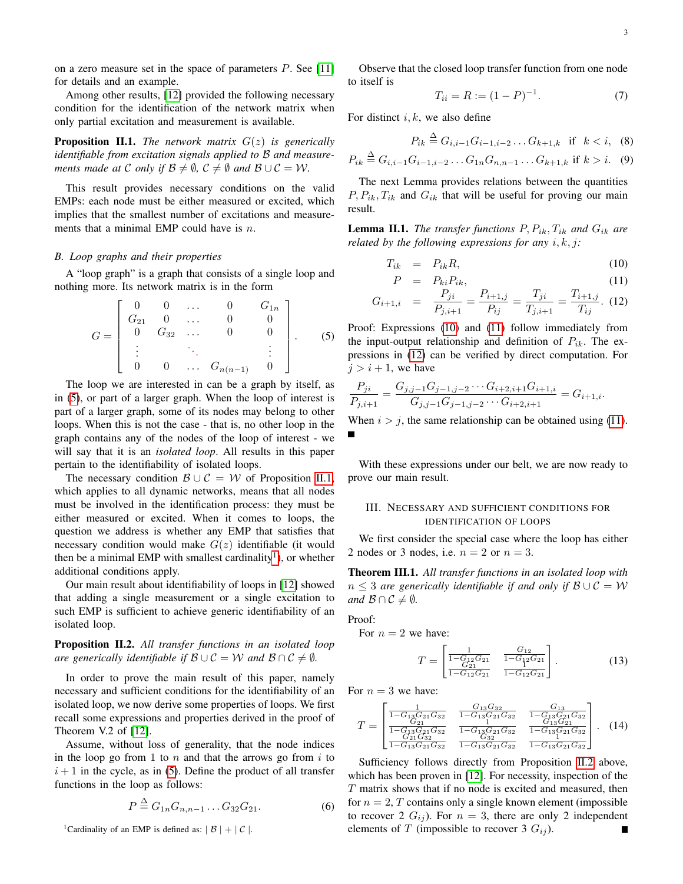on a zero measure set in the space of parameters  $P$ . See [\[11\]](#page-4-4) for details and an example.

Among other results, [\[12\]](#page-4-5) provided the following necessary condition for the identification of the network matrix when only partial excitation and measurement is available.

<span id="page-2-2"></span>Proposition II.1. *The network matrix* G(z) *is generically identifiable from excitation signals applied to* B *and measurements made at* C *only if*  $\mathcal{B} \neq \emptyset$ ,  $\mathcal{C} \neq \emptyset$  *and*  $\mathcal{B} \cup \mathcal{C} = \mathcal{W}$ *.* 

This result provides necessary conditions on the valid EMPs: each node must be either measured or excited, which implies that the smallest number of excitations and measurements that a minimal EMP could have is  $n$ .

## *B. Loop graphs and their properties*

A "loop graph" is a graph that consists of a single loop and nothing more. Its network matrix is in the form

<span id="page-2-1"></span>
$$
G = \begin{bmatrix} 0 & 0 & \dots & 0 & G_{1n} \\ G_{21} & 0 & \dots & 0 & 0 \\ 0 & G_{32} & \dots & 0 & 0 \\ \vdots & \vdots & \ddots & \vdots \\ 0 & 0 & \dots & G_{n(n-1)} & 0 \end{bmatrix} .
$$
 (5)

The loop we are interested in can be a graph by itself, as in [\(5\)](#page-2-1), or part of a larger graph. When the loop of interest is part of a larger graph, some of its nodes may belong to other loops. When this is not the case - that is, no other loop in the graph contains any of the nodes of the loop of interest - we will say that it is an *isolated loop*. All results in this paper pertain to the identifiability of isolated loops.

The necessary condition  $\mathcal{B} \cup \mathcal{C} = \mathcal{W}$  of Proposition [II.1,](#page-2-2) which applies to all dynamic networks, means that all nodes must be involved in the identification process: they must be either measured or excited. When it comes to loops, the question we address is whether any EMP that satisfies that necessary condition would make  $G(z)$  identifiable (it would then be a minimal EMP with smallest cardinality<sup>[1](#page-2-3)</sup>), or whether additional conditions apply.

Our main result about identifiability of loops in [\[12\]](#page-4-5) showed that adding a single measurement or a single excitation to such EMP is sufficient to achieve generic identifiability of an isolated loop.

<span id="page-2-5"></span>Proposition II.2. *All transfer functions in an isolated loop are generically identifiable if*  $\mathcal{B} \cup \mathcal{C} = \mathcal{W}$  *and*  $\mathcal{B} \cap \mathcal{C} \neq \emptyset$ *.* 

In order to prove the main result of this paper, namely necessary and sufficient conditions for the identifiability of an isolated loop, we now derive some properties of loops. We first recall some expressions and properties derived in the proof of Theorem V.2 of [\[12\]](#page-4-5).

Assume, without loss of generality, that the node indices in the loop go from 1 to  $n$  and that the arrows go from  $i$  to  $i+1$  in the cycle, as in [\(5\)](#page-2-1). Define the product of all transfer functions in the loop as follows:

$$
P \stackrel{\Delta}{=} G_{1n} G_{n,n-1} \dots G_{32} G_{21}.
$$
 (6)

<span id="page-2-3"></span><sup>1</sup>Cardinality of an EMP is defined as:  $|B| + |C|$ .

Observe that the closed loop transfer function from one node to itself is

$$
T_{ii} = R := (1 - P)^{-1}.
$$
 (7)

For distinct  $i, k$ , we also define

<span id="page-2-7"></span>
$$
P_{ik} \stackrel{\Delta}{=} G_{i,i-1} G_{i-1,i-2} \dots G_{k+1,k} \text{ if } k < i, (8)
$$

$$
P_{ik} \stackrel{\Delta}{=} G_{i,i-1} G_{i-1,i-2} \dots G_{1n} G_{n,n-1} \dots G_{k+1,k} \text{ if } k > i. \tag{9}
$$

The next Lemma provides relations between the quantities  $P, P_{ik}, T_{ik}$  and  $G_{ik}$  that will be useful for proving our main result.

<span id="page-2-6"></span>**Lemma II.1.** *The transfer functions*  $P, P_{ik}, T_{ik}$  *and*  $G_{ik}$  *are related by the following expressions for any* i, k, j*:*

<span id="page-2-4"></span>
$$
T_{ik} = P_{ik}R, \t\t(10)
$$

$$
P = P_{ki}P_{ik}, \t\t(11)
$$

$$
G_{i+1,i} = \frac{P_{ji}}{P_{j,i+1}} = \frac{P_{i+1,j}}{P_{ij}} = \frac{T_{ji}}{T_{j,i+1}} = \frac{T_{i+1,j}}{T_{ij}}.
$$
 (12)

Proof: Expressions [\(10\)](#page-2-4) and [\(11\)](#page-2-4) follow immediately from the input-output relationship and definition of  $P_{ik}$ . The expressions in [\(12\)](#page-2-4) can be verified by direct computation. For  $j > i + 1$ , we have

$$
\frac{P_{ji}}{P_{j,i+1}} = \frac{G_{j,j-1}G_{j-1,j-2}\cdots G_{i+2,i+1}G_{i+1,i}}{G_{j,j-1}G_{j-1,j-2}\cdots G_{i+2,i+1}} = G_{i+1,i}.
$$

When  $i > j$ , the same relationship can be obtained using [\(11\)](#page-2-4).

With these expressions under our belt, we are now ready to prove our main result.

# <span id="page-2-0"></span>III. NECESSARY AND SUFFICIENT CONDITIONS FOR IDENTIFICATION OF LOOPS

We first consider the special case where the loop has either 2 nodes or 3 nodes, i.e.  $n = 2$  or  $n = 3$ .

<span id="page-2-8"></span>Theorem III.1. *All transfer functions in an isolated loop with*  $n \leq 3$  *are generically identifiable if and only if*  $\mathcal{B} \cup \mathcal{C} = \mathcal{W}$ *and*  $\mathcal{B} \cap \mathcal{C} \neq \emptyset$ *.* 

Proof:

For  $n = 2$  we have:

$$
T = \begin{bmatrix} 1 & G_{12} \\ \frac{G_{12}G_{21}}{1 - G_{12}G_{21}} & \frac{G_{12}}{1 - G_{12}G_{21}} \\ \frac{G_{21}}{1 - G_{12}G_{21}} & \frac{G_{12}G_{21}}{1 - G_{12}G_{21}} \end{bmatrix} .
$$
 (13)

For  $n = 3$  we have:

$$
T = \begin{bmatrix} \frac{1}{1 - G_{13}G_{21}G_{32}} & \frac{G_{13}G_{32}}{1 - G_{13}G_{21}G_{32}} & \frac{G_{13}}{1 - G_{13}G_{21}G_{32}}\\ \frac{G_{21}}{1 - G_{13}G_{21}G_{32}} & \frac{1}{1 - G_{13}G_{21}G_{32}} & \frac{G_{13}G_{21}G_{32}}{1 - G_{13}G_{21}G_{32}}\\ \frac{G_{21}G_{32}}{1 - G_{13}G_{21}G_{32}} & \frac{G_{32}}{1 - G_{13}G_{21}G_{32}} & \frac{1}{1 - G_{13}G_{21}G_{32}} \end{bmatrix}.
$$
 (14)

Sufficiency follows directly from Proposition [II.2](#page-2-5) above, which has been proven in [\[12\]](#page-4-5). For necessity, inspection of the T matrix shows that if no node is excited and measured, then for  $n = 2$ , T contains only a single known element (impossible to recover 2  $G_{ij}$ ). For  $n = 3$ , there are only 2 independent elements of T (impossible to recover 3  $G_{ij}$ ). Г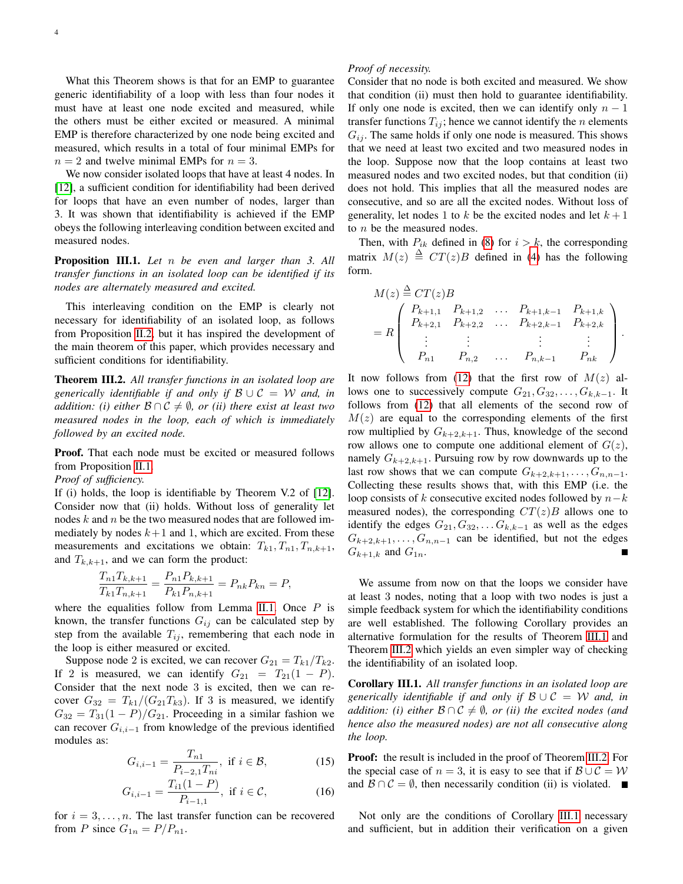What this Theorem shows is that for an EMP to guarantee generic identifiability of a loop with less than four nodes it must have at least one node excited and measured, while the others must be either excited or measured. A minimal EMP is therefore characterized by one node being excited and measured, which results in a total of four minimal EMPs for  $n = 2$  and twelve minimal EMPs for  $n = 3$ .

We now consider isolated loops that have at least 4 nodes. In [\[12\]](#page-4-5), a sufficient condition for identifiability had been derived for loops that have an even number of nodes, larger than 3. It was shown that identifiability is achieved if the EMP obeys the following interleaving condition between excited and measured nodes.

Proposition III.1. *Let* n *be even and larger than 3. All transfer functions in an isolated loop can be identified if its nodes are alternately measured and excited.*

This interleaving condition on the EMP is clearly not necessary for identifiability of an isolated loop, as follows from Proposition [II.2,](#page-2-5) but it has inspired the development of the main theorem of this paper, which provides necessary and sufficient conditions for identifiability.

<span id="page-3-0"></span>Theorem III.2. *All transfer functions in an isolated loop are generically identifiable if and only if*  $B \cup C = W$  *and, in addition: (i) either*  $\mathcal{B} \cap \mathcal{C} \neq \emptyset$ *, or (ii) there exist at least two measured nodes in the loop, each of which is immediately followed by an excited node.*

Proof. That each node must be excited or measured follows from Proposition [II.1.](#page-2-2)

*Proof of sufficiency.*

If (i) holds, the loop is identifiable by Theorem V.2 of [\[12\]](#page-4-5). Consider now that (ii) holds. Without loss of generality let nodes  $k$  and  $n$  be the two measured nodes that are followed immediately by nodes  $k+1$  and 1, which are excited. From these measurements and excitations we obtain:  $T_{k1}, T_{n1}, T_{n,k+1}$ , and  $T_{k,k+1}$ , and we can form the product:

$$
\frac{T_{n1}T_{k,k+1}}{T_{k1}T_{n,k+1}} = \frac{P_{n1}P_{k,k+1}}{P_{k1}P_{n,k+1}} = P_{nk}P_{kn} = P,
$$

where the equalities follow from Lemma [II.1.](#page-2-6) Once  $P$  is known, the transfer functions  $G_{ij}$  can be calculated step by step from the available  $T_{ij}$ , remembering that each node in the loop is either measured or excited.

Suppose node 2 is excited, we can recover  $G_{21} = T_{k1}/T_{k2}$ . If 2 is measured, we can identify  $G_{21} = T_{21}(1 - P)$ . Consider that the next node 3 is excited, then we can recover  $G_{32} = T_{k1}/(G_{21}T_{k3})$ . If 3 is measured, we identify  $G_{32} = T_{31}(1 - P)/G_{21}$ . Proceeding in a similar fashion we can recover  $G_{i,i-1}$  from knowledge of the previous identified modules as:

$$
G_{i,i-1} = \frac{T_{n1}}{P_{i-2,1}T_{ni}}, \text{ if } i \in \mathcal{B},
$$
 (15)

$$
G_{i,i-1} = \frac{T_{i1}(1 - P)}{P_{i-1,1}}, \text{ if } i \in \mathcal{C}, \tag{16}
$$

for  $i = 3, \ldots, n$ . The last transfer function can be recovered from P since  $G_{1n} = P/P_{n1}$ .

# *Proof of necessity.*

Consider that no node is both excited and measured. We show that condition (ii) must then hold to guarantee identifiability. If only one node is excited, then we can identify only  $n - 1$ transfer functions  $T_{ij}$ ; hence we cannot identify the *n* elements  $G_{ij}$ . The same holds if only one node is measured. This shows that we need at least two excited and two measured nodes in the loop. Suppose now that the loop contains at least two measured nodes and two excited nodes, but that condition (ii) does not hold. This implies that all the measured nodes are consecutive, and so are all the excited nodes. Without loss of generality, let nodes 1 to k be the excited nodes and let  $k + 1$ to n be the measured nodes.

Then, with  $P_{ik}$  defined in [\(8\)](#page-2-7) for  $i > k$ , the corresponding matrix  $M(z) \triangleq CT(z)B$  defined in [\(4\)](#page-1-3) has the following form.

$$
M(z) \stackrel{\Delta}{=} CT(z)B
$$
  
=  $R \begin{pmatrix} P_{k+1,1} & P_{k+1,2} & \dots & P_{k+1,k-1} & P_{k+1,k} \\ P_{k+2,1} & P_{k+2,2} & \dots & P_{k+2,k-1} & P_{k+2,k} \\ \vdots & \vdots & \vdots & \vdots & \vdots \\ P_{n1} & P_{n,2} & \dots & P_{n,k-1} & P_{nk} \end{pmatrix}.$ 

It now follows from [\(12\)](#page-2-4) that the first row of  $M(z)$  allows one to successively compute  $G_{21}, G_{32}, \ldots, G_{k,k-1}$ . It follows from [\(12\)](#page-2-4) that all elements of the second row of  $M(z)$  are equal to the corresponding elements of the first row multiplied by  $G_{k+2,k+1}$ . Thus, knowledge of the second row allows one to compute one additional element of  $G(z)$ , namely  $G_{k+2,k+1}$ . Pursuing row by row downwards up to the last row shows that we can compute  $G_{k+2,k+1}, \ldots, G_{n,n-1}$ . Collecting these results shows that, with this EMP (i.e. the loop consists of k consecutive excited nodes followed by  $n-k$ measured nodes), the corresponding  $CT(z)B$  allows one to identify the edges  $G_{21}, G_{32}, \ldots, G_{k,k-1}$  as well as the edges  $G_{k+2,k+1}, \ldots, G_{n,n-1}$  can be identified, but not the edges  $G_{k+1,k}$  and  $G_{1n}$ .

We assume from now on that the loops we consider have at least 3 nodes, noting that a loop with two nodes is just a simple feedback system for which the identifiability conditions are well established. The following Corollary provides an alternative formulation for the results of Theorem [III.1](#page-2-8) and Theorem [III.2](#page-3-0) which yields an even simpler way of checking the identifiability of an isolated loop.

<span id="page-3-1"></span>Corollary III.1. *All transfer functions in an isolated loop are generically identifiable if and only if* B ∪ C = W *and, in addition: (i) either*  $\mathcal{B} \cap \mathcal{C} \neq \emptyset$ *, or (ii) the excited nodes (and hence also the measured nodes) are not all consecutive along the loop.*

Proof: the result is included in the proof of Theorem [III.2.](#page-3-0) For the special case of  $n = 3$ , it is easy to see that if  $\mathcal{B} \cup \mathcal{C} = \mathcal{W}$ and  $\mathcal{B} \cap \mathcal{C} = \emptyset$ , then necessarily condition (ii) is violated.

Not only are the conditions of Corollary [III.1](#page-3-1) necessary and sufficient, but in addition their verification on a given